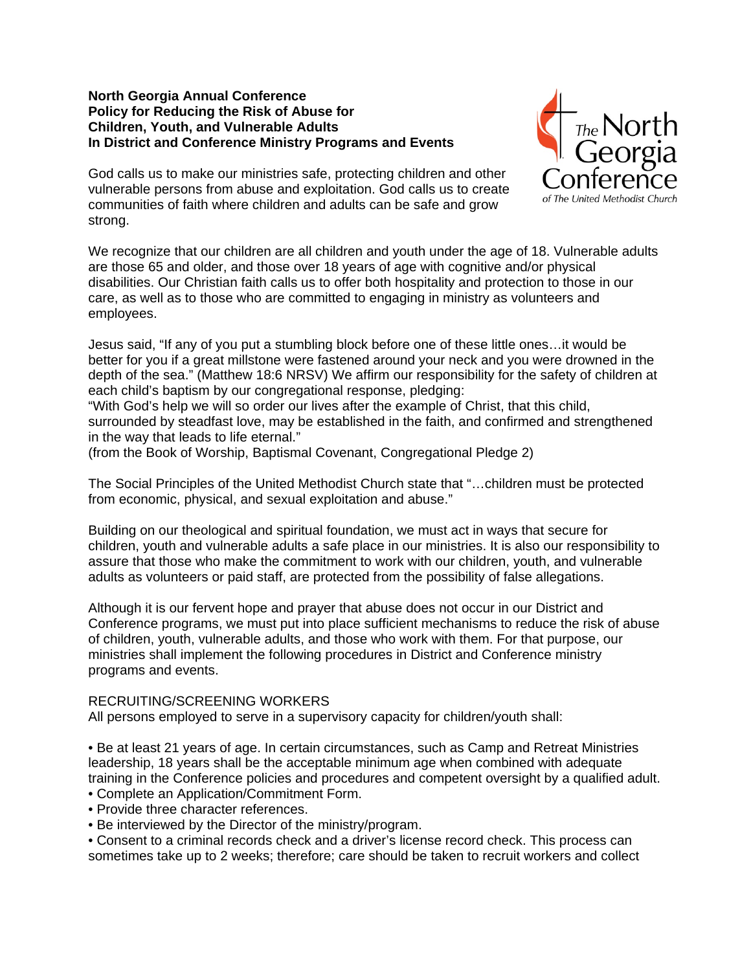### **North Georgia Annual Conference Policy for Reducing the Risk of Abuse for Children, Youth, and Vulnerable Adults In District and Conference Ministry Programs and Events**



God calls us to make our ministries safe, protecting children and other vulnerable persons from abuse and exploitation. God calls us to create communities of faith where children and adults can be safe and grow strong.

We recognize that our children are all children and youth under the age of 18. Vulnerable adults are those 65 and older, and those over 18 years of age with cognitive and/or physical disabilities. Our Christian faith calls us to offer both hospitality and protection to those in our care, as well as to those who are committed to engaging in ministry as volunteers and employees.

Jesus said, "If any of you put a stumbling block before one of these little ones…it would be better for you if a great millstone were fastened around your neck and you were drowned in the depth of the sea." (Matthew 18:6 NRSV) We affirm our responsibility for the safety of children at each child's baptism by our congregational response, pledging:

"With God's help we will so order our lives after the example of Christ, that this child, surrounded by steadfast love, may be established in the faith, and confirmed and strengthened in the way that leads to life eternal."

(from the Book of Worship, Baptismal Covenant, Congregational Pledge 2)

The Social Principles of the United Methodist Church state that "…children must be protected from economic, physical, and sexual exploitation and abuse."

Building on our theological and spiritual foundation, we must act in ways that secure for children, youth and vulnerable adults a safe place in our ministries. It is also our responsibility to assure that those who make the commitment to work with our children, youth, and vulnerable adults as volunteers or paid staff, are protected from the possibility of false allegations.

Although it is our fervent hope and prayer that abuse does not occur in our District and Conference programs, we must put into place sufficient mechanisms to reduce the risk of abuse of children, youth, vulnerable adults, and those who work with them. For that purpose, our ministries shall implement the following procedures in District and Conference ministry programs and events.

#### RECRUITING/SCREENING WORKERS

All persons employed to serve in a supervisory capacity for children/youth shall:

• Be at least 21 years of age. In certain circumstances, such as Camp and Retreat Ministries leadership, 18 years shall be the acceptable minimum age when combined with adequate training in the Conference policies and procedures and competent oversight by a qualified adult.

- Complete an Application/Commitment Form.
- Provide three character references.
- Be interviewed by the Director of the ministry/program.

• Consent to a criminal records check and a driver's license record check. This process can sometimes take up to 2 weeks; therefore; care should be taken to recruit workers and collect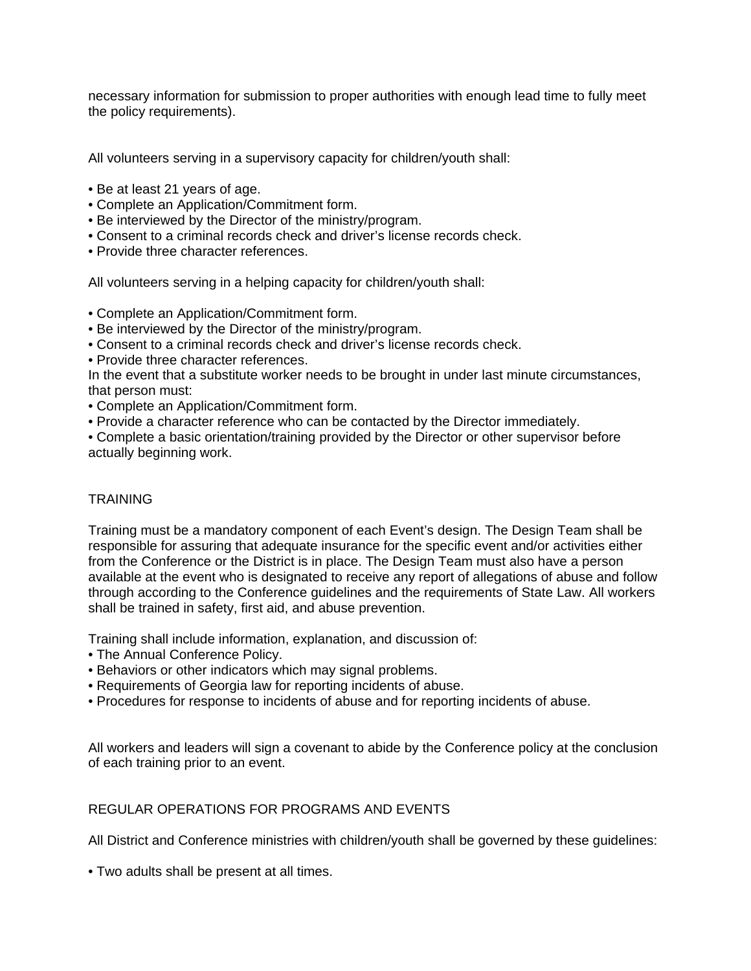necessary information for submission to proper authorities with enough lead time to fully meet the policy requirements).

All volunteers serving in a supervisory capacity for children/youth shall:

- Be at least 21 years of age.
- Complete an Application/Commitment form.
- Be interviewed by the Director of the ministry/program.
- Consent to a criminal records check and driver's license records check.
- Provide three character references.

All volunteers serving in a helping capacity for children/youth shall:

- Complete an Application/Commitment form.
- Be interviewed by the Director of the ministry/program.
- Consent to a criminal records check and driver's license records check.
- Provide three character references.

In the event that a substitute worker needs to be brought in under last minute circumstances, that person must:

- Complete an Application/Commitment form.
- Provide a character reference who can be contacted by the Director immediately.
- Complete a basic orientation/training provided by the Director or other supervisor before actually beginning work.

# **TRAINING**

Training must be a mandatory component of each Event's design. The Design Team shall be responsible for assuring that adequate insurance for the specific event and/or activities either from the Conference or the District is in place. The Design Team must also have a person available at the event who is designated to receive any report of allegations of abuse and follow through according to the Conference guidelines and the requirements of State Law. All workers shall be trained in safety, first aid, and abuse prevention.

Training shall include information, explanation, and discussion of:

- The Annual Conference Policy.
- Behaviors or other indicators which may signal problems.
- Requirements of Georgia law for reporting incidents of abuse.
- Procedures for response to incidents of abuse and for reporting incidents of abuse.

All workers and leaders will sign a covenant to abide by the Conference policy at the conclusion of each training prior to an event.

# REGULAR OPERATIONS FOR PROGRAMS AND EVENTS

All District and Conference ministries with children/youth shall be governed by these guidelines:

• Two adults shall be present at all times.